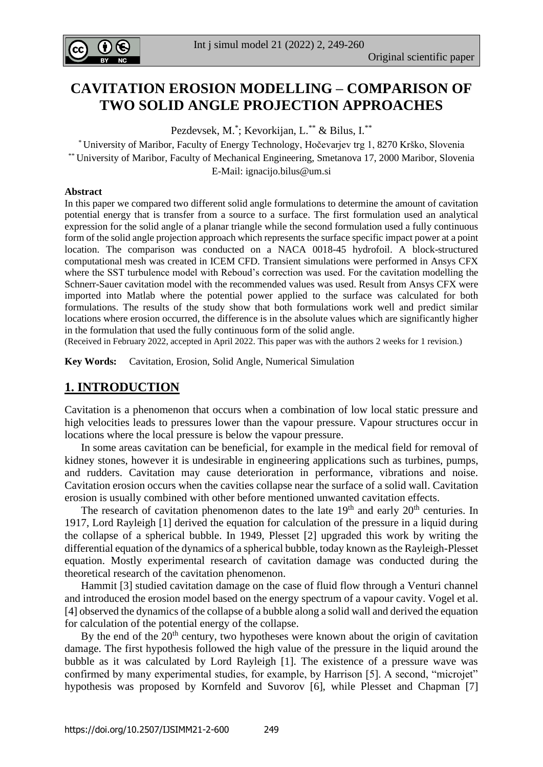

# **CAVITATION EROSION MODELLING – COMPARISON OF TWO SOLID ANGLE PROJECTION APPROACHES**

Pezdevsek, M.<sup>\*</sup>; Kevorkijan, L.<sup>\*\*</sup> & Bilus, I.<sup>\*\*</sup>

\* University of Maribor, Faculty of Energy Technology, Hočevarjev trg 1, 8270 Krško, Slovenia \*\* University of Maribor, Faculty of Mechanical Engineering, Smetanova 17, 2000 Maribor, Slovenia E-Mail: [ignacijo.bilus@um.si](mailto:ignacijo.bilus@um.si)

#### **Abstract**

In this paper we compared two different solid angle formulations to determine the amount of cavitation potential energy that is transfer from a source to a surface. The first formulation used an analytical expression for the solid angle of a planar triangle while the second formulation used a fully continuous form of the solid angle projection approach which represents the surface specific impact power at a point location. The comparison was conducted on a NACA 0018-45 hydrofoil. A block-structured computational mesh was created in ICEM CFD. Transient simulations were performed in Ansys CFX where the SST turbulence model with Reboud's correction was used. For the cavitation modelling the Schnerr-Sauer cavitation model with the recommended values was used. Result from Ansys CFX were imported into Matlab where the potential power applied to the surface was calculated for both formulations. The results of the study show that both formulations work well and predict similar locations where erosion occurred, the difference is in the absolute values which are significantly higher in the formulation that used the fully continuous form of the solid angle.

(Received in February 2022, accepted in April 2022. This paper was with the authors 2 weeks for 1 revision.)

**Key Words:** Cavitation, Erosion, Solid Angle, Numerical Simulation

## **1. INTRODUCTION**

Cavitation is a phenomenon that occurs when a combination of low local static pressure and high velocities leads to pressures lower than the vapour pressure. Vapour structures occur in locations where the local pressure is below the vapour pressure.

 In some areas cavitation can be beneficial, for example in the medical field for removal of kidney stones, however it is undesirable in engineering applications such as turbines, pumps, and rudders. Cavitation may cause deterioration in performance, vibrations and noise. Cavitation erosion occurs when the cavities collapse near the surface of a solid wall. Cavitation erosion is usually combined with other before mentioned unwanted cavitation effects.

The research of cavitation phenomenon dates to the late  $19<sup>th</sup>$  and early  $20<sup>th</sup>$  centuries. In 1917, Lord Rayleigh [1] derived the equation for calculation of the pressure in a liquid during the collapse of a spherical bubble. In 1949, Plesset [2] upgraded this work by writing the differential equation of the dynamics of a spherical bubble, today known as the Rayleigh-Plesset equation. Mostly experimental research of cavitation damage was conducted during the theoretical research of the cavitation phenomenon.

 Hammit [3] studied cavitation damage on the case of fluid flow through a Venturi channel and introduced the erosion model based on the energy spectrum of a vapour cavity. Vogel et al. [4] observed the dynamics of the collapse of a bubble along a solid wall and derived the equation for calculation of the potential energy of the collapse.

By the end of the  $20<sup>th</sup>$  century, two hypotheses were known about the origin of cavitation damage. The first hypothesis followed the high value of the pressure in the liquid around the bubble as it was calculated by Lord Rayleigh [1]. The existence of a pressure wave was confirmed by many experimental studies, for example, by Harrison [5]. A second, "microjet" hypothesis was proposed by Kornfeld and Suvorov [6], while Plesset and Chapman [7]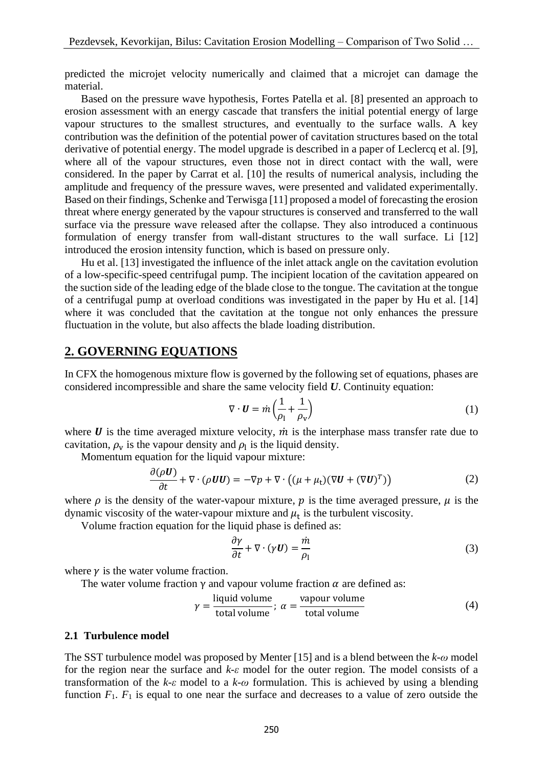predicted the microjet velocity numerically and claimed that a microjet can damage the material.

 Based on the pressure wave hypothesis, Fortes Patella et al. [8] presented an approach to erosion assessment with an energy cascade that transfers the initial potential energy of large vapour structures to the smallest structures, and eventually to the surface walls. A key contribution was the definition of the potential power of cavitation structures based on the total derivative of potential energy. The model upgrade is described in a paper of Leclercq et al. [9], where all of the vapour structures, even those not in direct contact with the wall, were considered. In the paper by Carrat et al. [10] the results of numerical analysis, including the amplitude and frequency of the pressure waves, were presented and validated experimentally. Based on their findings, Schenke and Terwisga [11] proposed a model of forecasting the erosion threat where energy generated by the vapour structures is conserved and transferred to the wall surface via the pressure wave released after the collapse. They also introduced a continuous formulation of energy transfer from wall-distant structures to the wall surface. Li [12] introduced the erosion intensity function, which is based on pressure only.

 Hu et al. [13] investigated the influence of the inlet attack angle on the cavitation evolution of a low-specific-speed centrifugal pump. The incipient location of the cavitation appeared on the suction side of the leading edge of the blade close to the tongue. The cavitation at the tongue of a centrifugal pump at overload conditions was investigated in the paper by Hu et al. [14] where it was concluded that the cavitation at the tongue not only enhances the pressure fluctuation in the volute, but also affects the blade loading distribution.

### **2. GOVERNING EQUATIONS**

In CFX the homogenous mixture flow is governed by the following set of equations, phases are considered incompressible and share the same velocity field *U*. Continuity equation:

$$
\nabla \cdot \mathbf{U} = \dot{m} \left( \frac{1}{\rho_1} + \frac{1}{\rho_v} \right) \tag{1}
$$

where  $\boldsymbol{U}$  is the time averaged mixture velocity,  $\boldsymbol{m}$  is the interphase mass transfer rate due to cavitation,  $\rho_{\rm v}$  is the vapour density and  $\rho_{\rm l}$  is the liquid density.

Momentum equation for the liquid vapour mixture:

$$
\frac{\partial(\rho \mathbf{U})}{\partial t} + \nabla \cdot (\rho \mathbf{U} \mathbf{U}) = -\nabla p + \nabla \cdot ((\mu + \mu_t)(\nabla \mathbf{U} + (\nabla \mathbf{U})^T))
$$
(2)

where  $\rho$  is the density of the water-vapour mixture,  $p$  is the time averaged pressure,  $\mu$  is the dynamic viscosity of the water-vapour mixture and  $\mu_t$  is the turbulent viscosity.

Volume fraction equation for the liquid phase is defined as:

$$
\frac{\partial \gamma}{\partial t} + \nabla \cdot (\gamma \mathbf{U}) = \frac{\dot{m}}{\rho_1} \tag{3}
$$

where  $\gamma$  is the water volume fraction.

The water volume fraction  $\gamma$  and vapour volume fraction  $\alpha$  are defined as:

$$
\gamma = \frac{\text{liquid volume}}{\text{total volume}}; \ \alpha = \frac{\text{vapour volume}}{\text{total volume}} \tag{4}
$$

#### **2.1 Turbulence model**

The SST turbulence model was proposed by Menter [15] and is a blend between the *k-ω* model for the region near the surface and *k-ε* model for the outer region. The model consists of a transformation of the *k-ε* model to a *k-ω* formulation. This is achieved by using a blending function  $F_1$ .  $F_1$  is equal to one near the surface and decreases to a value of zero outside the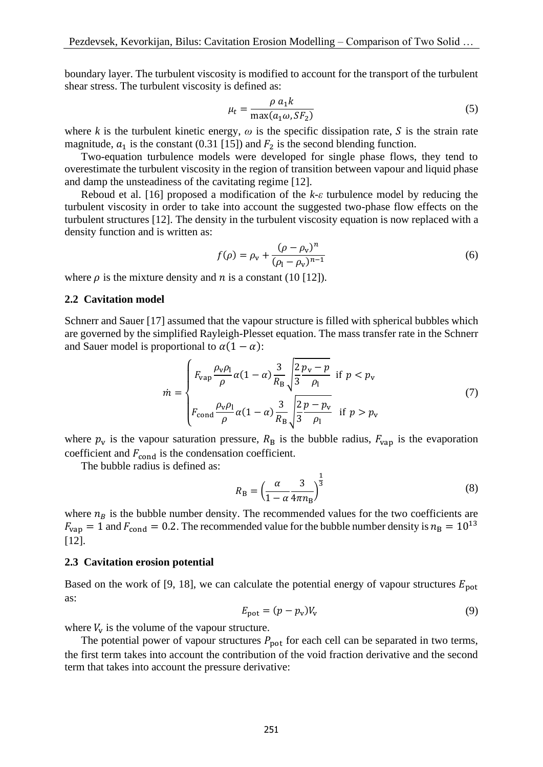boundary layer. The turbulent viscosity is modified to account for the transport of the turbulent shear stress. The turbulent viscosity is defined as:

$$
\mu_t = \frac{\rho \, a_1 k}{\max(a_1 \omega, S F_2)}\tag{5}
$$

where *k* is the turbulent kinetic energy,  $\omega$  is the specific dissipation rate, S is the strain rate magnitude,  $a_1$  is the constant (0.31 [15]) and  $F_2$  is the second blending function.

 Two-equation turbulence models were developed for single phase flows, they tend to overestimate the turbulent viscosity in the region of transition between vapour and liquid phase and damp the unsteadiness of the cavitating regime [12].

 Reboud et al. [16] proposed a modification of the *k-ε* turbulence model by reducing the turbulent viscosity in order to take into account the suggested two-phase flow effects on the turbulent structures [12]. The density in the turbulent viscosity equation is now replaced with a density function and is written as:

$$
f(\rho) = \rho_{v} + \frac{(\rho - \rho_{v})^{n}}{(\rho_{l} - \rho_{v})^{n-1}}
$$
\n(6)

where  $\rho$  is the mixture density and *n* is a constant (10 [12]).

#### **2.2 Cavitation model**

Schnerr and Sauer [17] assumed that the vapour structure is filled with spherical bubbles which are governed by the simplified Rayleigh-Plesset equation. The mass transfer rate in the Schnerr and Sauer model is proportional to  $\alpha(1 - \alpha)$ :

$$
\dot{m} = \begin{cases} F_{\text{vap}} \frac{\rho_{\text{v}} \rho_{\text{l}}}{\rho} \alpha (1 - \alpha) \frac{3}{R_{\text{B}}} \sqrt{\frac{2}{3} \frac{p_{\text{v}} - p}{\rho_{\text{l}}}} & \text{if } p < p_{\text{v}} \\ F_{\text{cond}} \frac{\rho_{\text{v}} \rho_{\text{l}}}{\rho} \alpha (1 - \alpha) \frac{3}{R_{\text{B}}} \sqrt{\frac{2}{3} \frac{p - p_{\text{v}}}{\rho_{\text{l}}}} & \text{if } p > p_{\text{v}} \end{cases}
$$
(7)

where  $p_v$  is the vapour saturation pressure,  $R_B$  is the bubble radius,  $F_{vap}$  is the evaporation coefficient and  $F_{\text{cond}}$  is the condensation coefficient.

The bubble radius is defined as:

$$
R_{\rm B} = \left(\frac{\alpha}{1 - \alpha} \frac{3}{4\pi n_{\rm B}}\right)^{\frac{1}{3}}\tag{8}
$$

where  $n_B$  is the bubble number density. The recommended values for the two coefficients are  $F_{\text{vap}} = 1$  and  $F_{\text{cond}} = 0.2$ . The recommended value for the bubble number density is  $n_B = 10^{13}$ [12].

#### **2.3 Cavitation erosion potential**

Based on the work of [9, 18], we can calculate the potential energy of vapour structures  $E_{\text{not}}$ as:

$$
E_{\rm pot} = (p - p_{\rm v})V_{\rm v} \tag{9}
$$

where  $V_{\rm v}$  is the volume of the vapour structure.

The potential power of vapour structures  $P_{pot}$  for each cell can be separated in two terms, the first term takes into account the contribution of the void fraction derivative and the second term that takes into account the pressure derivative: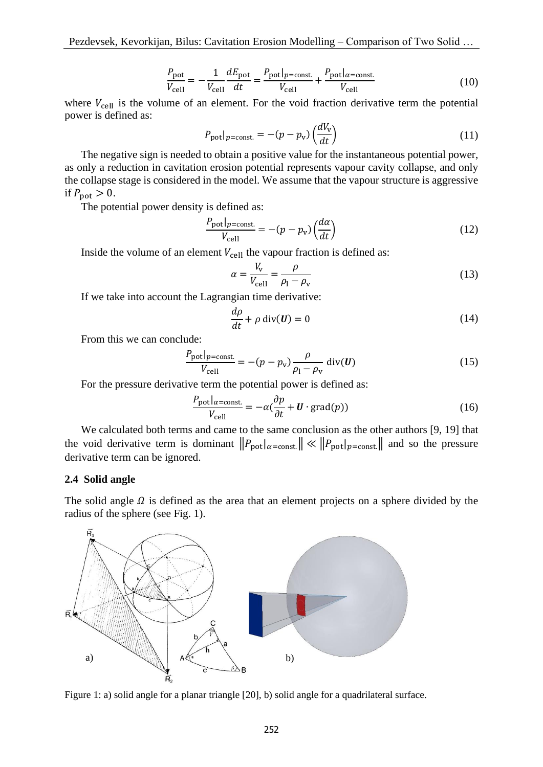$$
\frac{P_{\text{pot}}}{V_{\text{cell}}} = -\frac{1}{V_{\text{cell}}} \frac{dE_{\text{pot}}}{dt} = \frac{P_{\text{pot}}|_{p=\text{const.}}}{V_{\text{cell}}} + \frac{P_{\text{pot}}|_{\alpha=\text{const.}}}{V_{\text{cell}}}
$$
(10)

where  $V_{cell}$  is the volume of an element. For the void fraction derivative term the potential power is defined as:

$$
P_{\text{pot}}|_{p=\text{const.}} = -(p - p_v) \left(\frac{dV_v}{dt}\right) \tag{11}
$$

 The negative sign is needed to obtain a positive value for the instantaneous potential power, as only a reduction in cavitation erosion potential represents vapour cavity collapse, and only the collapse stage is considered in the model. We assume that the vapour structure is aggressive if  $P_{\text{pot}} > 0$ .

The potential power density is defined as:

$$
\frac{P_{\text{pot}}|_{p=\text{const.}}}{V_{\text{cell}}} = -(p - p_v) \left(\frac{d\alpha}{dt}\right)
$$
(12)

Inside the volume of an element  $V_{cell}$  the vapour fraction is defined as:

$$
\alpha = \frac{V_{\rm v}}{V_{\rm cell}} = \frac{\rho}{\rho_{\rm l} - \rho_{\rm v}}\tag{13}
$$

If we take into account the Lagrangian time derivative:

$$
\frac{d\rho}{dt} + \rho \operatorname{div}(\mathbf{U}) = 0 \tag{14}
$$

From this we can conclude:

$$
\frac{P_{\text{pot}}|_{p=\text{const.}}}{V_{\text{cell}}} = -(p - p_{\text{v}}) \frac{\rho}{\rho_{\text{I}} - \rho_{\text{v}}} \text{ div}(\boldsymbol{U}) \tag{15}
$$

For the pressure derivative term the potential power is defined as:

$$
\frac{P_{\text{pot}}|_{\alpha = \text{const.}}}{V_{\text{cell}}} = -\alpha(\frac{\partial p}{\partial t} + \mathbf{U} \cdot \text{grad}(p))
$$
(16)

 We calculated both terms and came to the same conclusion as the other authors [9, 19] that the void derivative term is dominant  $||P_{pot}|_{\alpha = const.}|| \ll ||P_{pot}|_{\alpha = const.}||$  and so the pressure derivative term can be ignored.

### **2.4 Solid angle**

The solid angle  $\Omega$  is defined as the area that an element projects on a sphere divided by the radius of the sphere (see Fig. 1).



Figure 1: a) solid angle for a planar triangle [20], b) solid angle for a quadrilateral surface.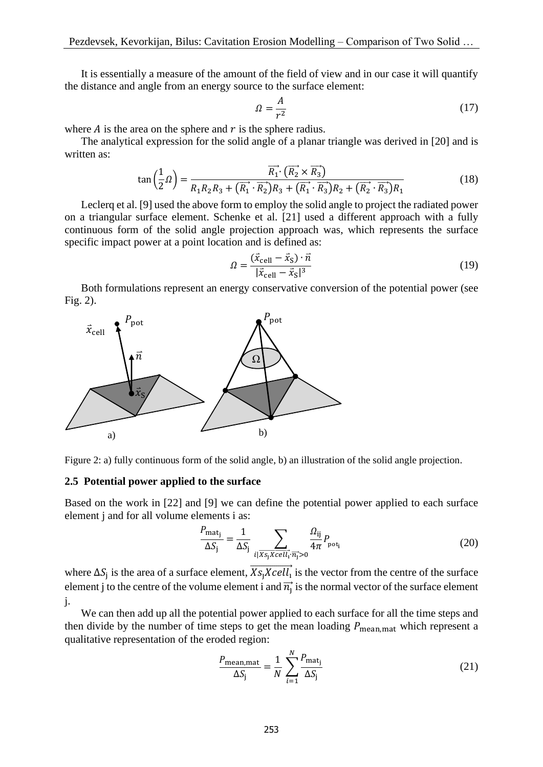It is essentially a measure of the amount of the field of view and in our case it will quantify the distance and angle from an energy source to the surface element:

$$
\Omega = \frac{A}{r^2} \tag{17}
$$

where  $\vec{A}$  is the area on the sphere and  $\vec{r}$  is the sphere radius.

 The analytical expression for the solid angle of a planar triangle was derived in [20] and is written as:

$$
\tan\left(\frac{1}{2}\Omega\right) = \frac{\overrightarrow{R_1} \cdot (\overrightarrow{R_2} \times \overrightarrow{R_3})}{R_1 R_2 R_3 + (\overrightarrow{R_1} \cdot \overrightarrow{R_2}) R_3 + (\overrightarrow{R_1} \cdot \overrightarrow{R_3}) R_2 + (\overrightarrow{R_2} \cdot \overrightarrow{R_3}) R_1}
$$
(18)

 Leclerq et al. [9] used the above form to employ the solid angle to project the radiated power on a triangular surface element. Schenke et al. [21] used a different approach with a fully continuous form of the solid angle projection approach was, which represents the surface specific impact power at a point location and is defined as:

$$
\Omega = \frac{(\vec{x}_{\text{cell}} - \vec{x}_{\text{S}}) \cdot \vec{n}}{|\vec{x}_{\text{cell}} - \vec{x}_{\text{S}}|^3}
$$
(19)

 Both formulations represent an energy conservative conversion of the potential power (see Fig. 2).





#### **2.5 Potential power applied to the surface**

Based on the work in [22] and [9] we can define the potential power applied to each surface element j and for all volume elements i as:

$$
\frac{P_{\text{mat}_j}}{\Delta S_j} = \frac{1}{\Delta S_j} \sum_{i | \overline{Xs_j Xcell_i} \cdot \overline{n_j} > 0} \frac{\Omega_{ij}}{4\pi} P_{\text{pot}_i}
$$
(20)

where  $\Delta S_j$  is the area of a surface element,  $\overline{Xs_jXcell}$  is the vector from the centre of the surface element j to the centre of the volume element i and  $\overrightarrow{n_j}$  is the normal vector of the surface element j.

 We can then add up all the potential power applied to each surface for all the time steps and then divide by the number of time steps to get the mean loading  $P_{\text{mean},\text{mat}}$  which represent a qualitative representation of the eroded region:

$$
\frac{P_{\text{mean,mat}}}{\Delta S_j} = \frac{1}{N} \sum_{i=1}^{N} \frac{P_{\text{mat}_j}}{\Delta S_j}
$$
(21)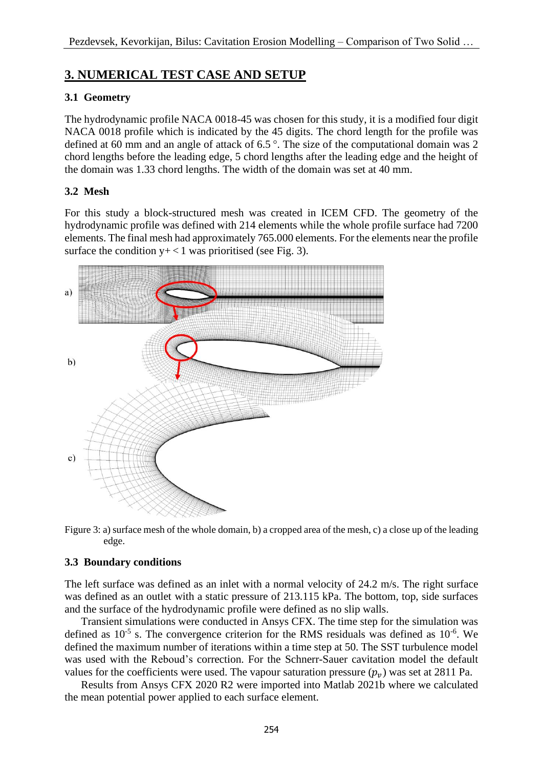# **3. NUMERICAL TEST CASE AND SETUP**

## **3.1 Geometry**

The hydrodynamic profile NACA 0018-45 was chosen for this study, it is a modified four digit NACA 0018 profile which is indicated by the 45 digits. The chord length for the profile was defined at 60 mm and an angle of attack of 6.5 °. The size of the computational domain was 2 chord lengths before the leading edge, 5 chord lengths after the leading edge and the height of the domain was 1.33 chord lengths. The width of the domain was set at 40 mm.

## **3.2 Mesh**

For this study a block-structured mesh was created in ICEM CFD. The geometry of the hydrodynamic profile was defined with 214 elements while the whole profile surface had 7200 elements. The final mesh had approximately 765.000 elements. For the elements near the profile surface the condition  $y+<1$  was prioritised (see Fig. 3).



Figure 3: a) surface mesh of the whole domain, b) a cropped area of the mesh, c) a close up of the leading edge.

### **3.3 Boundary conditions**

The left surface was defined as an inlet with a normal velocity of 24.2 m/s. The right surface was defined as an outlet with a static pressure of 213.115 kPa. The bottom, top, side surfaces and the surface of the hydrodynamic profile were defined as no slip walls.

 Transient simulations were conducted in Ansys CFX. The time step for the simulation was defined as  $10^{-5}$  s. The convergence criterion for the RMS residuals was defined as  $10^{-6}$ . We defined the maximum number of iterations within a time step at 50. The SST turbulence model was used with the Reboud's correction. For the Schnerr-Sauer cavitation model the default values for the coefficients were used. The vapour saturation pressure  $(p_n)$  was set at 2811 Pa.

 Results from Ansys CFX 2020 R2 were imported into Matlab 2021b where we calculated the mean potential power applied to each surface element.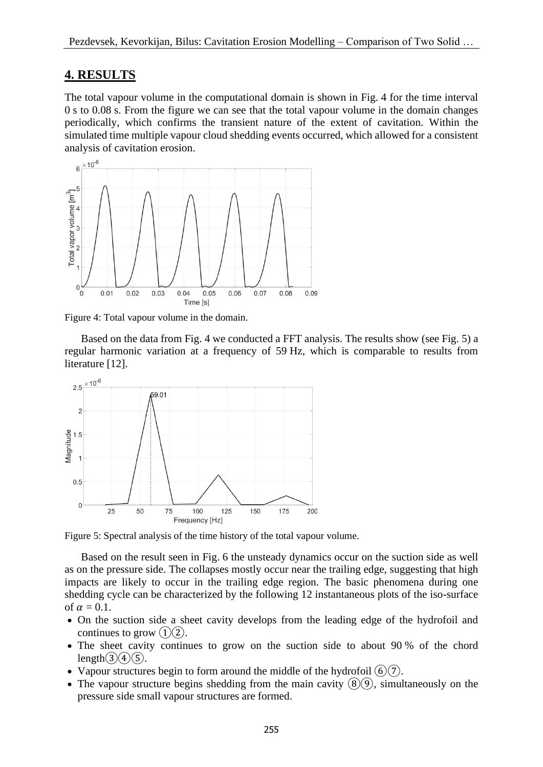## **4. RESULTS**

The total vapour volume in the computational domain is shown in Fig. 4 for the time interval 0 s to 0.08 s. From the figure we can see that the total vapour volume in the domain changes periodically, which confirms the transient nature of the extent of cavitation. Within the simulated time multiple vapour cloud shedding events occurred, which allowed for a consistent analysis of cavitation erosion.



Figure 4: Total vapour volume in the domain.

 Based on the data from Fig. 4 we conducted a FFT analysis. The results show (see Fig. 5) a regular harmonic variation at a frequency of 59 Hz, which is comparable to results from literature [12].



Figure 5: Spectral analysis of the time history of the total vapour volume.

 Based on the result seen in Fig. 6 the unsteady dynamics occur on the suction side as well as on the pressure side. The collapses mostly occur near the trailing edge, suggesting that high impacts are likely to occur in the trailing edge region. The basic phenomena during one shedding cycle can be characterized by the following 12 instantaneous plots of the iso-surface of  $\alpha = 0.1$ .

- On the suction side a sheet cavity develops from the leading edge of the hydrofoil and continues to grow  $(1)(2)$ .
- The sheet cavity continues to grow on the suction side to about 90 % of the chord length $\Omega(4)(5)$ .
- Vapour structures begin to form around the middle of the hydrofoil  $(6)(7)$ .
- The vapour structure begins shedding from the main cavity  $(\mathcal{B})(\mathcal{D})$ , simultaneously on the pressure side small vapour structures are formed.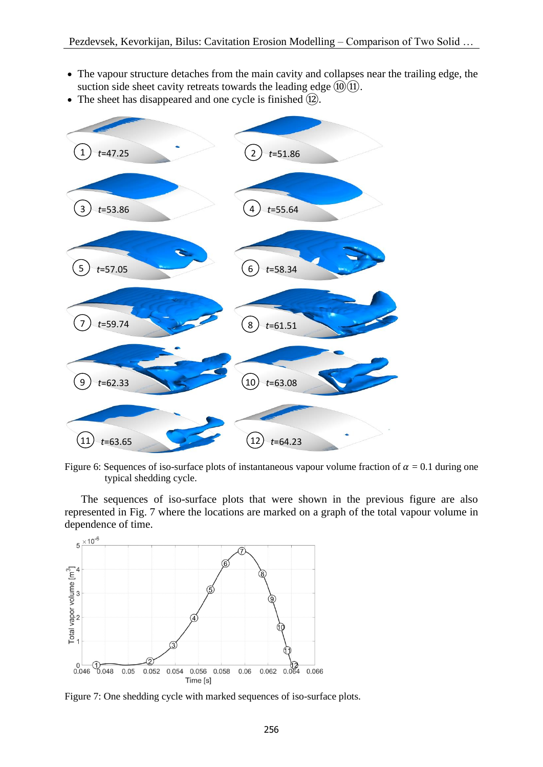- The vapour structure detaches from the main cavity and collapses near the trailing edge, the suction side sheet cavity retreats towards the leading edge  $\Omega$  $\Omega$ .
- The sheet has disappeared and one cycle is finished  $(12)$ .



Figure 6: Sequences of iso-surface plots of instantaneous vapour volume fraction of  $\alpha = 0.1$  during one typical shedding cycle.

 The sequences of iso-surface plots that were shown in the previous figure are also represented in Fig. 7 where the locations are marked on a graph of the total vapour volume in dependence of time.



Figure 7: One shedding cycle with marked sequences of iso-surface plots.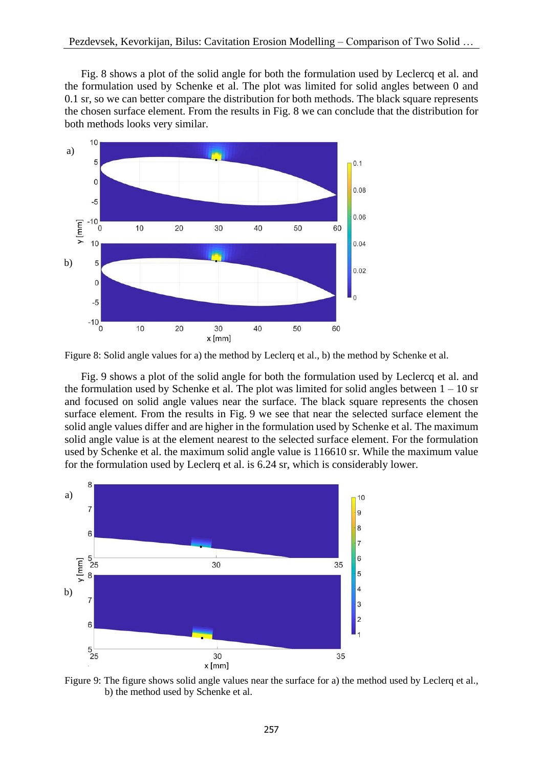Fig. 8 shows a plot of the solid angle for both the formulation used by Leclercq et al. and the formulation used by Schenke et al. The plot was limited for solid angles between 0 and 0.1 sr, so we can better compare the distribution for both methods. The black square represents the chosen surface element. From the results in Fig. 8 we can conclude that the distribution for both methods looks very similar.



Figure 8: Solid angle values for a) the method by Leclerq et al., b) the method by Schenke et al.

 Fig. 9 shows a plot of the solid angle for both the formulation used by Leclercq et al. and the formulation used by Schenke et al. The plot was limited for solid angles between  $1 - 10$  sr and focused on solid angle values near the surface. The black square represents the chosen surface element. From the results in Fig. 9 we see that near the selected surface element the solid angle values differ and are higher in the formulation used by Schenke et al. The maximum solid angle value is at the element nearest to the selected surface element. For the formulation used by Schenke et al. the maximum solid angle value is 116610 sr. While the maximum value for the formulation used by Leclerq et al. is 6.24 sr, which is considerably lower.



Figure 9: The figure shows solid angle values near the surface for a) the method used by Leclerq et al., b) the method used by Schenke et al.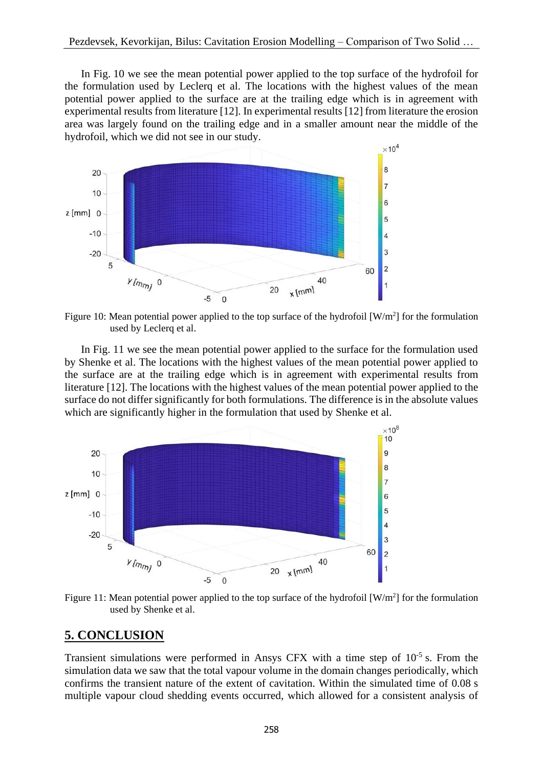In Fig. 10 we see the mean potential power applied to the top surface of the hydrofoil for the formulation used by Leclerq et al. The locations with the highest values of the mean potential power applied to the surface are at the trailing edge which is in agreement with experimental results from literature [12]. In experimental results [12] from literature the erosion area was largely found on the trailing edge and in a smaller amount near the middle of the hydrofoil, which we did not see in our study.



Figure 10: Mean potential power applied to the top surface of the hydrofoil  $[W/m^2]$  for the formulation used by Leclerq et al.

 In Fig. 11 we see the mean potential power applied to the surface for the formulation used by Shenke et al. The locations with the highest values of the mean potential power applied to the surface are at the trailing edge which is in agreement with experimental results from literature [12]. The locations with the highest values of the mean potential power applied to the surface do not differ significantly for both formulations. The difference is in the absolute values which are significantly higher in the formulation that used by Shenke et al.



Figure 11: Mean potential power applied to the top surface of the hydrofoil  $[W/m^2]$  for the formulation used by Shenke et al.

### **5. CONCLUSION**

Transient simulations were performed in Ansys CFX with a time step of  $10^{-5}$  s. From the simulation data we saw that the total vapour volume in the domain changes periodically, which confirms the transient nature of the extent of cavitation. Within the simulated time of 0.08 s multiple vapour cloud shedding events occurred, which allowed for a consistent analysis of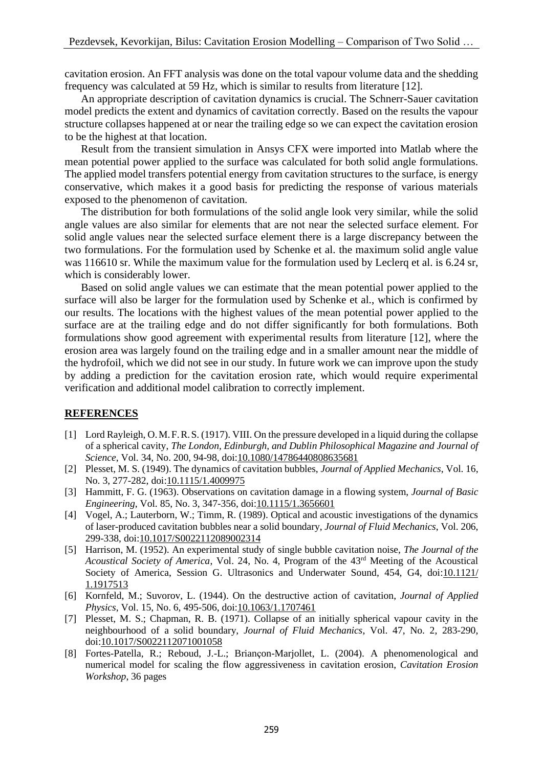cavitation erosion. An FFT analysis was done on the total vapour volume data and the shedding frequency was calculated at 59 Hz, which is similar to results from literature [12].

 An appropriate description of cavitation dynamics is crucial. The Schnerr-Sauer cavitation model predicts the extent and dynamics of cavitation correctly. Based on the results the vapour structure collapses happened at or near the trailing edge so we can expect the cavitation erosion to be the highest at that location.

 Result from the transient simulation in Ansys CFX were imported into Matlab where the mean potential power applied to the surface was calculated for both solid angle formulations. The applied model transfers potential energy from cavitation structures to the surface, is energy conservative, which makes it a good basis for predicting the response of various materials exposed to the phenomenon of cavitation.

 The distribution for both formulations of the solid angle look very similar, while the solid angle values are also similar for elements that are not near the selected surface element. For solid angle values near the selected surface element there is a large discrepancy between the two formulations. For the formulation used by Schenke et al. the maximum solid angle value was 116610 sr. While the maximum value for the formulation used by Leclerq et al. is 6.24 sr, which is considerably lower.

 Based on solid angle values we can estimate that the mean potential power applied to the surface will also be larger for the formulation used by Schenke et al., which is confirmed by our results. The locations with the highest values of the mean potential power applied to the surface are at the trailing edge and do not differ significantly for both formulations. Both formulations show good agreement with experimental results from literature [12], where the erosion area was largely found on the trailing edge and in a smaller amount near the middle of the hydrofoil, which we did not see in our study. In future work we can improve upon the study by adding a prediction for the cavitation erosion rate, which would require experimental verification and additional model calibration to correctly implement.

### **REFERENCES**

- [1] Lord Rayleigh, O.M.F.R.S. (1917). VIII. On the pressure developed in a liquid during the collapse of a spherical cavity, *The London, Edinburgh, and Dublin Philosophical Magazine and Journal of Science*, Vol. 34, No. 200, 94-98, doi[:10.1080/14786440808635681](https://doi.org/10.1080/14786440808635681)
- [2] Plesset, M. S. (1949). The dynamics of cavitation bubbles, *Journal of Applied Mechanics*, Vol. 16, No. 3, 277-282, doi[:10.1115/1.4009975](https://doi.org/10.1115/1.4009975)
- [3] Hammitt, F. G. (1963). Observations on cavitation damage in a flowing system, *Journal of Basic Engineering*, Vol. 85, No. 3, 347-356, doi[:10.1115/1.3656601](https://doi.org/10.1115/1.3656601)
- [4] Vogel, A.; Lauterborn, W.; Timm, R. (1989). Optical and acoustic investigations of the dynamics of laser-produced cavitation bubbles near a solid boundary, *Journal of Fluid Mechanics*, Vol. 206, 299-338, doi[:10.1017/S0022112089002314](https://doi.org/10.1017/S0022112089002314)
- [5] Harrison, M. (1952). An experimental study of single bubble cavitation noise, *The Journal of the Acoustical Society of America*, Vol. 24, No. 4, Program of the 43rd Meeting of the Acoustical Society of America, Session G. Ultrasonics and Underwater Sound, 454, G4, doi[:10.1121/](https://doi.org/10.1121/1.1917513) [1.1917513](https://doi.org/10.1121/1.1917513)
- [6] Kornfeld, M.; Suvorov, L. (1944). On the destructive action of cavitation, *Journal of Applied Physics*, Vol. 15, No. 6, 495-506, doi[:10.1063/1.1707461](https://doi.org/10.1063/1.1707461)
- [7] Plesset, M. S.; Chapman, R. B. (1971). Collapse of an initially spherical vapour cavity in the neighbourhood of a solid boundary, *Journal of Fluid Mechanics*, Vol. 47, No. 2, 283-290, doi[:10.1017/S0022112071001058](https://doi.org/10.1017/S0022112071001058)
- [8] Fortes-Patella, R.; Reboud, J.-L.; Briançon-Marjollet, L. (2004). A phenomenological and numerical model for scaling the flow aggressiveness in cavitation erosion, *Cavitation Erosion Workshop*, 36 pages